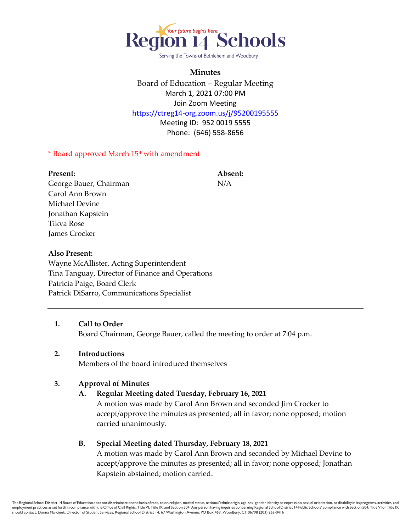

Serving the Towns of Bethlehem and Woodbury

# **Minutes**

Board of Education – Regular Meeting March 1, 2021 07:00 PM Join Zoom Meeting <https://ctreg14-org.zoom.us/j/95200195555>

> Meeting ID: 952 0019 5555 Phone: (646) 558-8656

> > **Present: Absent:**

#### \* Board approved March 15th with amendment

| Present:               | Abs |
|------------------------|-----|
| George Bauer, Chairman | N/A |
| Carol Ann Brown        |     |
| Michael Devine         |     |
| Jonathan Kapstein      |     |
| Tikva Rose             |     |

#### **Also Present:**

James Crocker

Wayne McAllister, Acting Superintendent Tina Tanguay, Director of Finance and Operations Patricia Paige, Board Clerk Patrick DiSarro, Communications Specialist

#### **1. Call to Order**

Board Chairman, George Bauer, called the meeting to order at 7:04 p.m.

#### **2. Introductions**

Members of the board introduced themselves

#### **3. Approval of Minutes**

**A. Regular Meeting dated Tuesday, February 16, 2021**

A motion was made by Carol Ann Brown and seconded Jim Crocker to accept/approve the minutes as presented; all in favor; none opposed; motion carried unanimously.

#### **B. Special Meeting dated Thursday, February 18, 2021**

A motion was made by Carol Ann Brown and seconded by Michael Devine to accept/approve the minutes as presented; all in favor; none opposed; Jonathan Kapstein abstained; motion carried.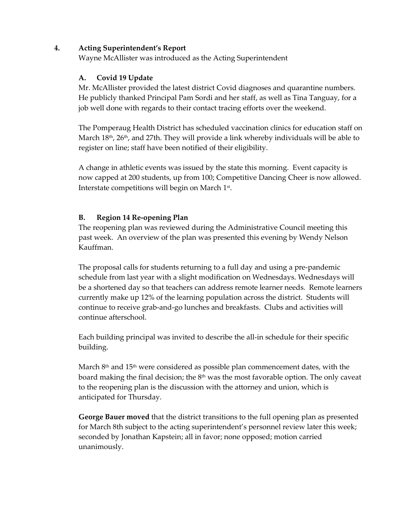### **4. Acting Superintendent's Report**

Wayne McAllister was introduced as the Acting Superintendent

### **A. Covid 19 Update**

Mr. McAllister provided the latest district Covid diagnoses and quarantine numbers. He publicly thanked Principal Pam Sordi and her staff, as well as Tina Tanguay, for a job well done with regards to their contact tracing efforts over the weekend.

The Pomperaug Health District has scheduled vaccination clinics for education staff on March  $18<sup>th</sup>$ ,  $26<sup>th</sup>$ , and  $27th$ . They will provide a link whereby individuals will be able to register on line; staff have been notified of their eligibility.

A change in athletic events was issued by the state this morning. Event capacity is now capped at 200 students, up from 100; Competitive Dancing Cheer is now allowed. Interstate competitions will begin on March 1 st .

## **B. Region 14 Re-opening Plan**

The reopening plan was reviewed during the Administrative Council meeting this past week. An overview of the plan was presented this evening by Wendy Nelson Kauffman.

The proposal calls for students returning to a full day and using a pre-pandemic schedule from last year with a slight modification on Wednesdays. Wednesdays will be a shortened day so that teachers can address remote learner needs. Remote learners currently make up 12% of the learning population across the district. Students will continue to receive grab-and-go lunches and breakfasts. Clubs and activities will continue afterschool.

Each building principal was invited to describe the all-in schedule for their specific building.

March 8<sup>th</sup> and 15<sup>th</sup> were considered as possible plan commencement dates, with the board making the final decision; the  $8<sup>th</sup>$  was the most favorable option. The only caveat to the reopening plan is the discussion with the attorney and union, which is anticipated for Thursday.

**George Bauer moved** that the district transitions to the full opening plan as presented for March 8th subject to the acting superintendent's personnel review later this week; seconded by Jonathan Kapstein; all in favor; none opposed; motion carried unanimously.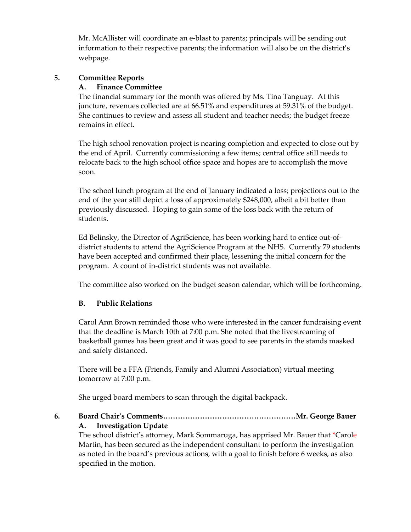Mr. McAllister will coordinate an e-blast to parents; principals will be sending out information to their respective parents; the information will also be on the district's webpage.

### **5. Committee Reports**

#### **A. Finance Committee**

The financial summary for the month was offered by Ms. Tina Tanguay. At this juncture, revenues collected are at 66.51% and expenditures at 59.31% of the budget. She continues to review and assess all student and teacher needs; the budget freeze remains in effect.

The high school renovation project is nearing completion and expected to close out by the end of April. Currently commissioning a few items; central office still needs to relocate back to the high school office space and hopes are to accomplish the move soon.

The school lunch program at the end of January indicated a loss; projections out to the end of the year still depict a loss of approximately \$248,000, albeit a bit better than previously discussed. Hoping to gain some of the loss back with the return of students.

Ed Belinsky, the Director of AgriScience, has been working hard to entice out-ofdistrict students to attend the AgriScience Program at the NHS. Currently 79 students have been accepted and confirmed their place, lessening the initial concern for the program. A count of in-district students was not available.

The committee also worked on the budget season calendar, which will be forthcoming.

## **B. Public Relations**

Carol Ann Brown reminded those who were interested in the cancer fundraising event that the deadline is March 10th at 7:00 p.m. She noted that the livestreaming of basketball games has been great and it was good to see parents in the stands masked and safely distanced.

There will be a FFA (Friends, Family and Alumni Association) virtual meeting tomorrow at 7:00 p.m.

She urged board members to scan through the digital backpack.

**6. Board Chair's Comments………………………………………………Mr. George Bauer**

**A. Investigation Update**

The school district's attorney, Mark Sommaruga, has apprised Mr. Bauer that \*Carole Martin, has been secured as the independent consultant to perform the investigation as noted in the board's previous actions, with a goal to finish before 6 weeks, as also specified in the motion.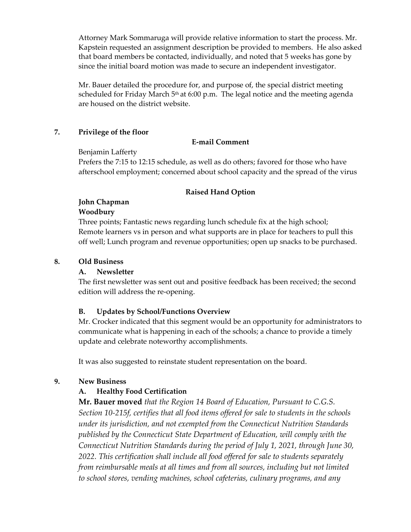Attorney Mark Sommaruga will provide relative information to start the process. Mr. Kapstein requested an assignment description be provided to members. He also asked that board members be contacted, individually, and noted that 5 weeks has gone by since the initial board motion was made to secure an independent investigator.

Mr. Bauer detailed the procedure for, and purpose of, the special district meeting scheduled for Friday March  $5<sup>th</sup>$  at 6:00 p.m. The legal notice and the meeting agenda are housed on the district website.

#### **7. Privilege of the floor**

### **E-mail Comment**

### Benjamin Lafferty

Prefers the 7:15 to 12:15 schedule, as well as do others; favored for those who have afterschool employment; concerned about school capacity and the spread of the virus

### **Raised Hand Option**

## **John Chapman**

### **Woodbury**

Three points; Fantastic news regarding lunch schedule fix at the high school; Remote learners vs in person and what supports are in place for teachers to pull this off well; Lunch program and revenue opportunities; open up snacks to be purchased.

### **8. Old Business**

## **A. Newsletter**

The first newsletter was sent out and positive feedback has been received; the second edition will address the re-opening.

## **B. Updates by School/Functions Overview**

Mr. Crocker indicated that this segment would be an opportunity for administrators to communicate what is happening in each of the schools; a chance to provide a timely update and celebrate noteworthy accomplishments.

It was also suggested to reinstate student representation on the board.

## **9. New Business**

## **A. Healthy Food Certification**

**Mr. Bauer moved** *that the Region 14 Board of Education, Pursuant to C.G.S. Section 10-215f, certifies that all food items offered for sale to students in the schools under its jurisdiction, and not exempted from the Connecticut Nutrition Standards published by the Connecticut State Department of Education, will comply with the Connecticut Nutrition Standards during the period of July 1, 2021, through June 30, 2022. This certification shall include all food offered for sale to students separately from reimbursable meals at all times and from all sources, including but not limited to school stores, vending machines, school cafeterias, culinary programs, and any*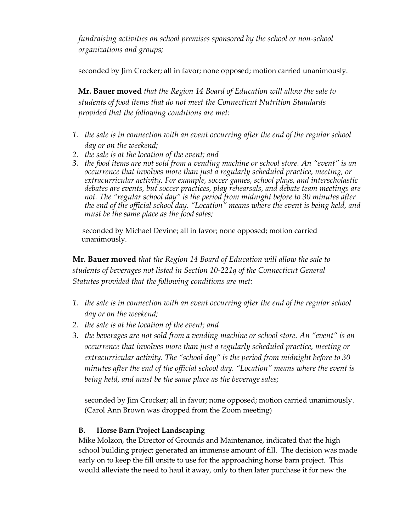*fundraising activities on school premises sponsored by the school or non-school organizations and groups;* 

seconded by Jim Crocker; all in favor; none opposed; motion carried unanimously*.* 

 **Mr. Bauer moved** *that the Region 14 Board of Education will allow the sale to students of food items that do not meet the Connecticut Nutrition Standards provided that the following conditions are met:*

- *1. the sale is in connection with an event occurring after the end of the regular school day or on the weekend;*
- *2. the sale is at the location of the event; and*
- *3. the food items are not sold from a vending machine or school store. An "event" is an occurrence that involves more than just a regularly scheduled practice, meeting, or extracurricular activity. For example, soccer games, school plays, and interscholastic debates are events, but soccer practices, play rehearsals, and debate team meetings are not. The "regular school day" is the period from midnight before to 30 minutes after the end of the official school day. "Location" means where the event is being held, and must be the same place as the food sales;*

seconded by Michael Devine; all in favor; none opposed; motion carried unanimously.

**Mr. Bauer moved** *that the Region 14 Board of Education will allow the sale to students of beverages not listed in Section 10-221q of the Connecticut General Statutes provided that the following conditions are met:*

- *1. the sale is in connection with an event occurring after the end of the regular school day or on the weekend;*
- *2. the sale is at the location of the event; and*
- 3. *the beverages are not sold from a vending machine or school store. An "event" is an occurrence that involves more than just a regularly scheduled practice, meeting or extracurricular activity. The "school day" is the period from midnight before to 30 minutes after the end of the official school day. "Location" means where the event is being held, and must be the same place as the beverage sales;*

seconded by Jim Crocker; all in favor; none opposed; motion carried unanimously. (Carol Ann Brown was dropped from the Zoom meeting)

## **B. Horse Barn Project Landscaping**

Mike Molzon, the Director of Grounds and Maintenance, indicated that the high school building project generated an immense amount of fill. The decision was made early on to keep the fill onsite to use for the approaching horse barn project. This would alleviate the need to haul it away, only to then later purchase it for new the